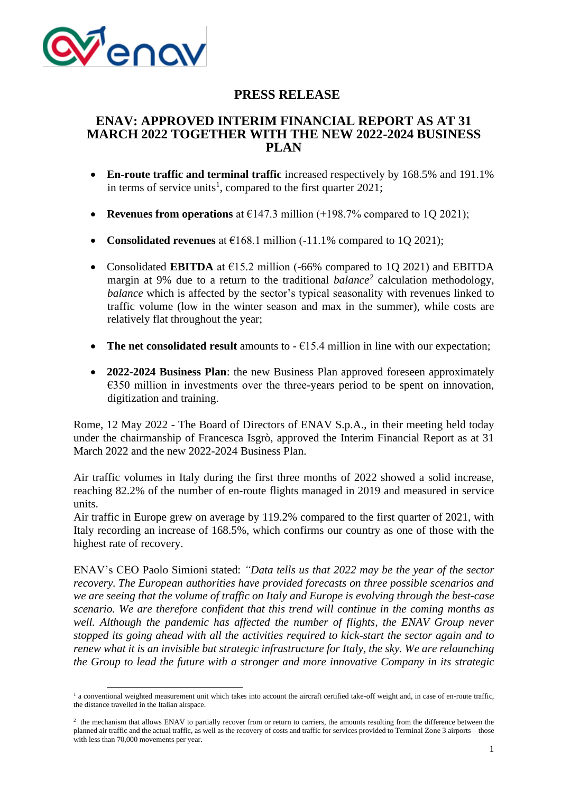

# **PRESS RELEASE**

## **ENAV: APPROVED INTERIM FINANCIAL REPORT AS AT 31 MARCH 2022 TOGETHER WITH THE NEW 2022-2024 BUSINESS PLAN**

- **En-route traffic and terminal traffic** increased respectively by 168.5% and 191.1% in terms of service units<sup>1</sup>, compared to the first quarter 2021;
- **Revenues from operations** at  $E147.3$  million (+198.7% compared to 1Q 2021);
- **Consolidated revenues** at  $E168.1$  million (-11.1% compared to 1Q 2021);
- Consolidated **EBITDA** at €15.2 million (-66% compared to 1Q 2021) and EBITDA margin at 9% due to a return to the traditional *balance<sup>2</sup>* calculation methodology, *balance* which is affected by the sector's typical seasonality with revenues linked to traffic volume (low in the winter season and max in the summer), while costs are relatively flat throughout the year;
- **The net consolidated result** amounts to  $-\epsilon$ 15.4 million in line with our expectation;
- **2022-2024 Business Plan**: the new Business Plan approved foreseen approximately €350 million in investments over the three-years period to be spent on innovation, digitization and training.

Rome, 12 May 2022 - The Board of Directors of ENAV S.p.A., in their meeting held today under the chairmanship of Francesca Isgrò, approved the Interim Financial Report as at 31 March 2022 and the new 2022-2024 Business Plan.

Air traffic volumes in Italy during the first three months of 2022 showed a solid increase, reaching 82.2% of the number of en-route flights managed in 2019 and measured in service units.

Air traffic in Europe grew on average by 119.2% compared to the first quarter of 2021, with Italy recording an increase of 168.5%, which confirms our country as one of those with the highest rate of recovery.

ENAV's CEO Paolo Simioni stated: *"Data tells us that 2022 may be the year of the sector recovery. The European authorities have provided forecasts on three possible scenarios and we are seeing that the volume of traffic on Italy and Europe is evolving through the best-case scenario. We are therefore confident that this trend will continue in the coming months as well. Although the pandemic has affected the number of flights, the ENAV Group never stopped its going ahead with all the activities required to kick-start the sector again and to renew what it is an invisible but strategic infrastructure for Italy, the sky. We are relaunching the Group to lead the future with a stronger and more innovative Company in its strategic* 

<sup>&</sup>lt;sup>1</sup> a conventional weighted measurement unit which takes into account the aircraft certified take-off weight and, in case of en-route traffic, the distance travelled in the Italian airspace.

<sup>&</sup>lt;sup>2</sup> the mechanism that allows ENAV to partially recover from or return to carriers, the amounts resulting from the difference between the planned air traffic and the actual traffic, as well as the recovery of costs and traffic for services provided to Terminal Zone 3 airports – those with less than 70,000 movements per year.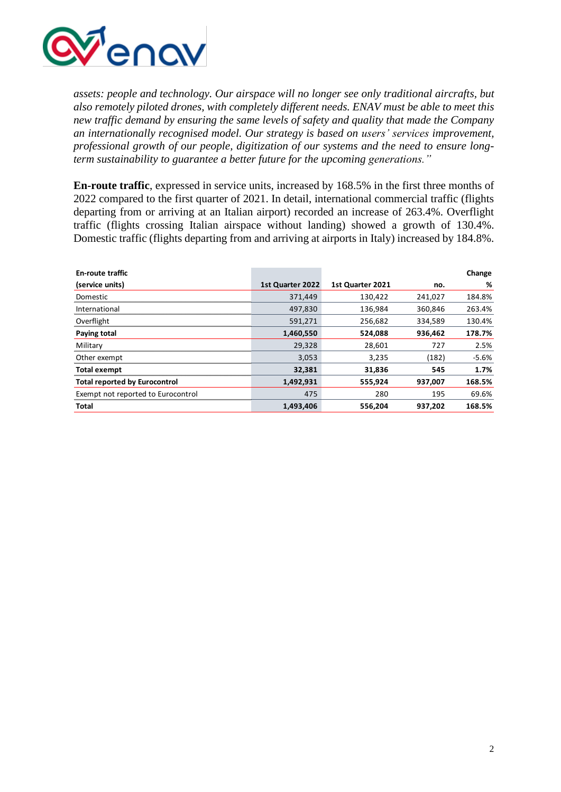

*assets: people and technology. Our airspace will no longer see only traditional aircrafts, but also remotely piloted drones, with completely different needs. ENAV must be able to meet this new traffic demand by ensuring the same levels of safety and quality that made the Company an internationally recognised model. Our strategy is based on users' services improvement, professional growth of our people, digitization of our systems and the need to ensure longterm sustainability to guarantee a better future for the upcoming generations."*

**En-route traffic**, expressed in service units, increased by 168.5% in the first three months of 2022 compared to the first quarter of 2021. In detail, international commercial traffic (flights departing from or arriving at an Italian airport) recorded an increase of 263.4%. Overflight traffic (flights crossing Italian airspace without landing) showed a growth of 130.4%. Domestic traffic (flights departing from and arriving at airports in Italy) increased by 184.8%.

| <b>En-route traffic</b>              |                  |                  |         | Change  |
|--------------------------------------|------------------|------------------|---------|---------|
| (service units)                      | 1st Quarter 2022 | 1st Quarter 2021 | no.     | ℅       |
| Domestic                             | 371,449          | 130.422          | 241.027 | 184.8%  |
| International                        | 497.830          | 136.984          | 360.846 | 263.4%  |
| Overflight                           | 591,271          | 256.682          | 334,589 | 130.4%  |
| Paying total                         | 1,460,550        | 524,088          | 936,462 | 178.7%  |
| Military                             | 29,328           | 28.601           | 727     | 2.5%    |
| Other exempt                         | 3.053            | 3,235            | (182)   | $-5.6%$ |
| <b>Total exempt</b>                  | 32,381           | 31,836           | 545     | 1.7%    |
| <b>Total reported by Eurocontrol</b> | 1,492,931        | 555,924          | 937,007 | 168.5%  |
| Exempt not reported to Eurocontrol   | 475              | 280              | 195     | 69.6%   |
| Total                                | 1,493,406        | 556.204          | 937.202 | 168.5%  |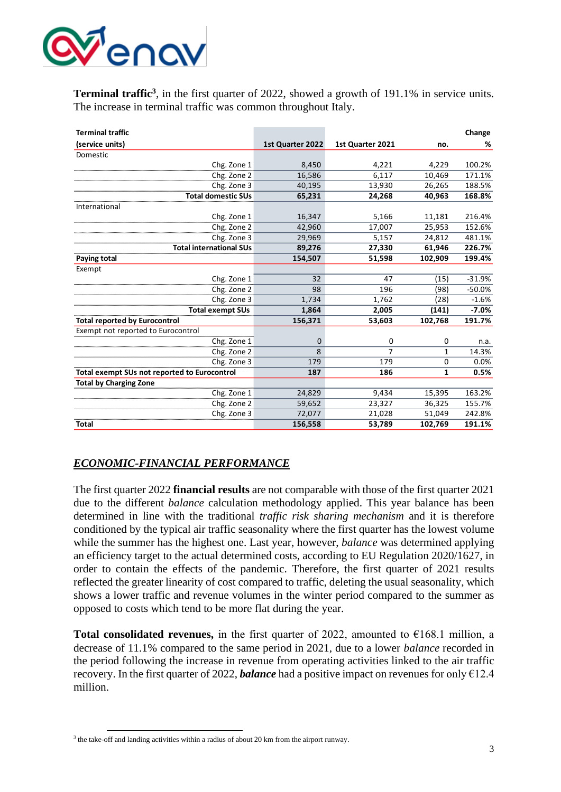

**Terminal traffic<sup>3</sup>**, in the first quarter of 2022, showed a growth of 191.1% in service units. The increase in terminal traffic was common throughout Italy.

| <b>Terminal traffic</b>                      |                  |                  |         | Change   |
|----------------------------------------------|------------------|------------------|---------|----------|
| (service units)                              | 1st Quarter 2022 | 1st Quarter 2021 | no.     | %        |
| Domestic                                     |                  |                  |         |          |
| Chg. Zone 1                                  | 8,450            | 4,221            | 4,229   | 100.2%   |
| Chg. Zone 2                                  | 16,586           | 6,117            | 10,469  | 171.1%   |
| Chg. Zone 3                                  | 40,195           | 13,930           | 26,265  | 188.5%   |
| <b>Total domestic SUs</b>                    | 65,231           | 24,268           | 40,963  | 168.8%   |
| International                                |                  |                  |         |          |
| Chg. Zone 1                                  | 16,347           | 5,166            | 11,181  | 216.4%   |
| Chg. Zone 2                                  | 42,960           | 17,007           | 25,953  | 152.6%   |
| Chg. Zone 3                                  | 29,969           | 5,157            | 24,812  | 481.1%   |
| <b>Total international SUs</b>               | 89,276           | 27,330           | 61,946  | 226.7%   |
| Paying total                                 | 154,507          | 51,598           | 102,909 | 199.4%   |
| Exempt                                       |                  |                  |         |          |
| Chg. Zone 1                                  | 32               | 47               | (15)    | $-31.9%$ |
| Chg. Zone 2                                  | 98               | 196              | (98)    | $-50.0%$ |
| Chg. Zone 3                                  | 1,734            | 1,762            | (28)    | $-1.6%$  |
| <b>Total exempt SUs</b>                      | 1,864            | 2,005            | (141)   | $-7.0%$  |
| <b>Total reported by Eurocontrol</b>         | 156,371          | 53,603           | 102,768 | 191.7%   |
| Exempt not reported to Eurocontrol           |                  |                  |         |          |
| Chg. Zone 1                                  | $\Omega$         | 0                | 0       | n.a.     |
| Chg. Zone 2                                  | 8                | 7                | 1       | 14.3%    |
| Chg. Zone 3                                  | 179              | 179              | 0       | 0.0%     |
| Total exempt SUs not reported to Eurocontrol | 187              | 186              | 1       | 0.5%     |
| <b>Total by Charging Zone</b>                |                  |                  |         |          |
| Chg. Zone 1                                  | 24,829           | 9,434            | 15,395  | 163.2%   |
| Chg. Zone 2                                  | 59,652           | 23,327           | 36,325  | 155.7%   |
| Chg. Zone 3                                  | 72,077           | 21,028           | 51,049  | 242.8%   |
| <b>Total</b>                                 | 156,558          | 53,789           | 102,769 | 191.1%   |

### *ECONOMIC-FINANCIAL PERFORMANCE*

The first quarter 2022 **financial results** are not comparable with those of the first quarter 2021 due to the different *balance* calculation methodology applied. This year balance has been determined in line with the traditional *traffic risk sharing mechanism* and it is therefore conditioned by the typical air traffic seasonality where the first quarter has the lowest volume while the summer has the highest one. Last year, however, *balance* was determined applying an efficiency target to the actual determined costs, according to EU Regulation 2020/1627, in order to contain the effects of the pandemic. Therefore, the first quarter of 2021 results reflected the greater linearity of cost compared to traffic, deleting the usual seasonality, which shows a lower traffic and revenue volumes in the winter period compared to the summer as opposed to costs which tend to be more flat during the year.

**Total consolidated revenues,** in the first quarter of 2022, amounted to  $\epsilon$ 168.1 million, a decrease of 11.1% compared to the same period in 2021, due to a lower *balance* recorded in the period following the increase in revenue from operating activities linked to the air traffic recovery. In the first quarter of 2022, *balance* had a positive impact on revenues for only €12.4 million.

<sup>&</sup>lt;sup>3</sup> the take-off and landing activities within a radius of about 20 km from the airport runway.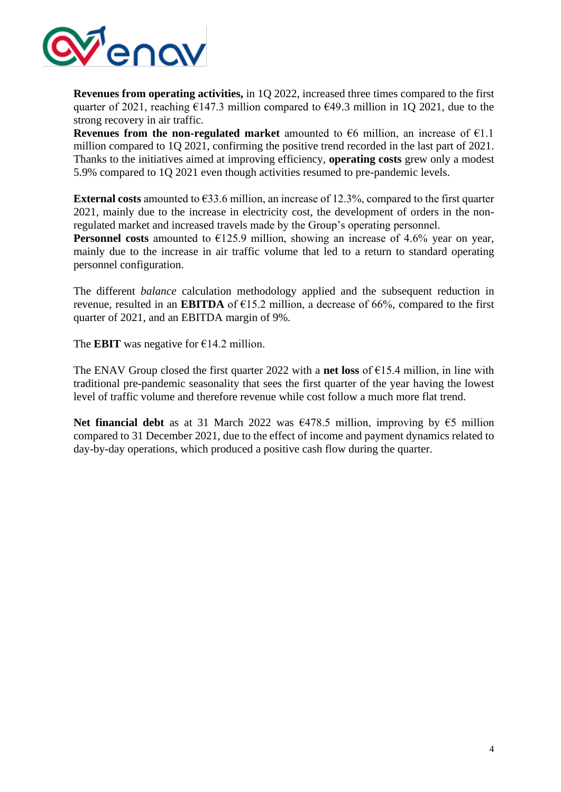

**Revenues from operating activities,** in 1Q 2022, increased three times compared to the first quarter of 2021, reaching  $\epsilon$ 147.3 million compared to  $\epsilon$ 49.3 million in 1Q 2021, due to the strong recovery in air traffic.

**Revenues from the non-regulated market** amounted to  $\epsilon$ 6 million, an increase of  $\epsilon$ 1.1 million compared to 1Q 2021, confirming the positive trend recorded in the last part of 2021. Thanks to the initiatives aimed at improving efficiency, **operating costs** grew only a modest 5.9% compared to 1Q 2021 even though activities resumed to pre-pandemic levels.

**External costs** amounted to €33.6 million, an increase of 12.3%, compared to the first quarter 2021, mainly due to the increase in electricity cost, the development of orders in the nonregulated market and increased travels made by the Group's operating personnel.

**Personnel costs** amounted to  $\epsilon$ 125.9 million, showing an increase of 4.6% year on year, mainly due to the increase in air traffic volume that led to a return to standard operating personnel configuration.

The different *balance* calculation methodology applied and the subsequent reduction in revenue, resulted in an **EBITDA** of  $\epsilon$ 15.2 million, a decrease of 66%, compared to the first quarter of 2021, and an EBITDA margin of 9%.

The **EBIT** was negative for  $\epsilon$ 14.2 million.

The ENAV Group closed the first quarter 2022 with a **net loss** of €15.4 million, in line with traditional pre-pandemic seasonality that sees the first quarter of the year having the lowest level of traffic volume and therefore revenue while cost follow a much more flat trend.

**Net financial debt** as at 31 March 2022 was €478.5 million, improving by €5 million compared to 31 December 2021, due to the effect of income and payment dynamics related to day-by-day operations, which produced a positive cash flow during the quarter.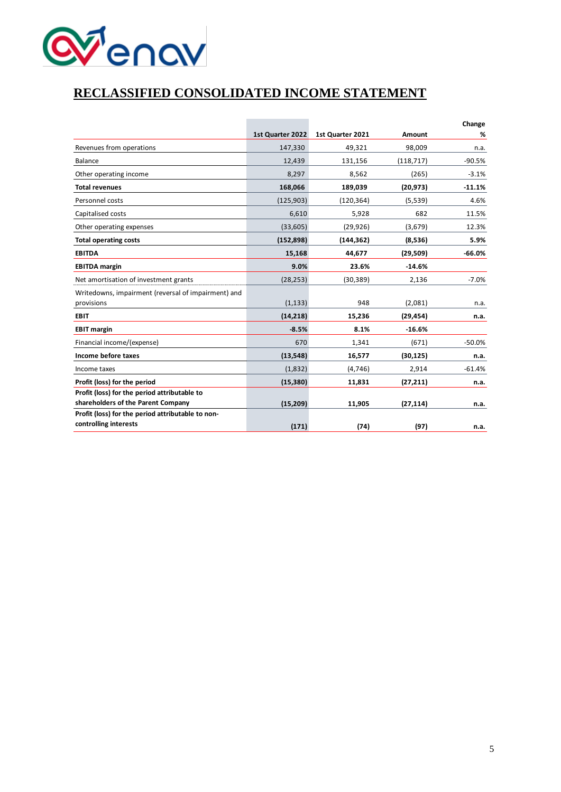

# **RECLASSIFIED CONSOLIDATED INCOME STATEMENT**

|                                                     |                  |                  |            | Change   |
|-----------------------------------------------------|------------------|------------------|------------|----------|
|                                                     | 1st Quarter 2022 | 1st Quarter 2021 | Amount     | %        |
| Revenues from operations                            | 147,330          | 49,321           | 98,009     | n.a.     |
| Balance                                             | 12,439           | 131,156          | (118, 717) | $-90.5%$ |
| Other operating income                              | 8,297            | 8,562            | (265)      | $-3.1%$  |
| <b>Total revenues</b>                               | 168,066          | 189,039          | (20, 973)  | $-11.1%$ |
| Personnel costs                                     | (125, 903)       | (120, 364)       | (5,539)    | 4.6%     |
| Capitalised costs                                   | 6,610            | 5,928            | 682        | 11.5%    |
| Other operating expenses                            | (33,605)         | (29, 926)        | (3,679)    | 12.3%    |
| <b>Total operating costs</b>                        | (152, 898)       | (144, 362)       | (8,536)    | 5.9%     |
| <b>EBITDA</b>                                       | 15,168           | 44,677           | (29,509)   | $-66.0%$ |
| <b>EBITDA</b> margin                                | 9.0%             | 23.6%            | $-14.6%$   |          |
| Net amortisation of investment grants               | (28, 253)        | (30, 389)        | 2,136      | $-7.0%$  |
| Writedowns, impairment (reversal of impairment) and |                  |                  |            |          |
| provisions                                          | (1, 133)         | 948              | (2,081)    | n.a.     |
| <b>EBIT</b>                                         | (14, 218)        | 15,236           | (29, 454)  | n.a.     |
| <b>EBIT margin</b>                                  | $-8.5%$          | 8.1%             | $-16.6%$   |          |
| Financial income/(expense)                          | 670              | 1,341            | (671)      | $-50.0%$ |
| Income before taxes                                 | (13, 548)        | 16,577           | (30, 125)  | n.a.     |
| Income taxes                                        | (1,832)          | (4,746)          | 2,914      | $-61.4%$ |
| Profit (loss) for the period                        | (15, 380)        | 11,831           | (27, 211)  | n.a.     |
| Profit (loss) for the period attributable to        |                  |                  |            |          |
| shareholders of the Parent Company                  | (15, 209)        | 11,905           | (27, 114)  | n.a.     |
| Profit (loss) for the period attributable to non-   |                  |                  |            |          |
| controlling interests                               | (171)            | (74)             | (97)       | n.a.     |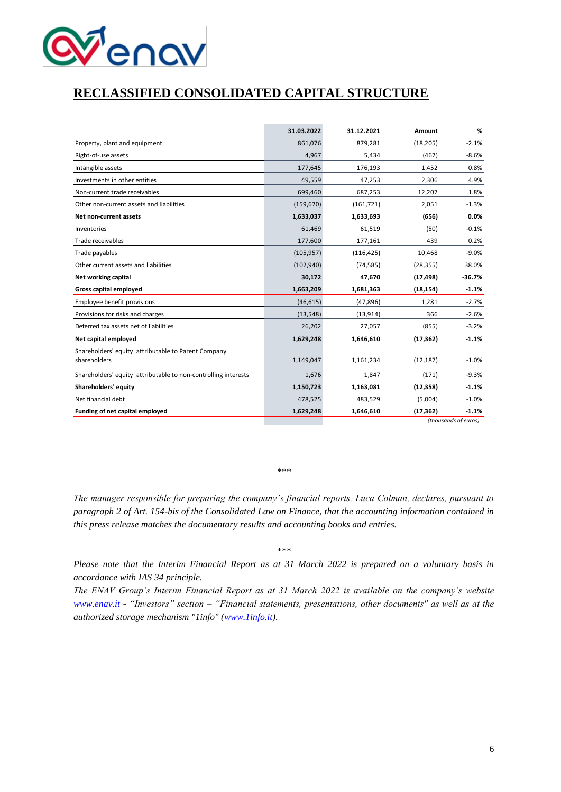

# **RECLASSIFIED CONSOLIDATED CAPITAL STRUCTURE**

|                                                                | 31.03.2022 | 31.12.2021 | Amount    | %        |
|----------------------------------------------------------------|------------|------------|-----------|----------|
| Property, plant and equipment                                  | 861,076    | 879,281    | (18, 205) | $-2.1%$  |
| Right-of-use assets                                            | 4,967      | 5,434      | (467)     | $-8.6%$  |
| Intangible assets                                              | 177,645    | 176,193    | 1,452     | 0.8%     |
| Investments in other entities                                  | 49,559     | 47,253     | 2,306     | 4.9%     |
| Non-current trade receivables                                  | 699,460    | 687,253    | 12,207    | 1.8%     |
| Other non-current assets and liabilities                       | (159, 670) | (161, 721) | 2,051     | $-1.3%$  |
| Net non-current assets                                         | 1,633,037  | 1,633,693  | (656)     | 0.0%     |
| Inventories                                                    | 61,469     | 61,519     | (50)      | $-0.1%$  |
| Trade receivables                                              | 177,600    | 177,161    | 439       | 0.2%     |
| Trade payables                                                 | (105, 957) | (116, 425) | 10,468    | $-9.0%$  |
| Other current assets and liabilities                           | (102, 940) | (74, 585)  | (28, 355) | 38.0%    |
| Net working capital                                            | 30,172     | 47,670     | (17, 498) | $-36.7%$ |
| <b>Gross capital employed</b>                                  | 1,663,209  | 1,681,363  | (18, 154) | $-1.1%$  |
| Employee benefit provisions                                    | (46, 615)  | (47, 896)  | 1,281     | $-2.7%$  |
| Provisions for risks and charges                               | (13, 548)  | (13, 914)  | 366       | $-2.6%$  |
| Deferred tax assets net of liabilities                         | 26,202     | 27,057     | (855)     | $-3.2%$  |
| Net capital employed                                           | 1,629,248  | 1,646,610  | (17, 362) | $-1.1%$  |
| Shareholders' equity attributable to Parent Company            |            |            |           |          |
| shareholders                                                   | 1,149,047  | 1,161,234  | (12, 187) | $-1.0%$  |
| Shareholders' equity attributable to non-controlling interests | 1,676      | 1,847      | (171)     | $-9.3%$  |
| Shareholders' equity                                           | 1,150,723  | 1,163,081  | (12, 358) | $-1.1%$  |
| Net financial debt                                             | 478,525    | 483,529    | (5,004)   | $-1.0%$  |
| Funding of net capital employed                                | 1,629,248  | 1,646,610  | (17, 362) | $-1.1%$  |

*(thousands of euros)*

*\*\*\**

*The manager responsible for preparing the company's financial reports, Luca Colman, declares, pursuant to paragraph 2 of Art. 154-bis of the Consolidated Law on Finance, that the accounting information contained in this press release matches the documentary results and accounting books and entries.* 

*\*\*\**

*Please note that the Interim Financial Report as at 31 March 2022 is prepared on a voluntary basis in accordance with IAS 34 principle.* 

*The ENAV Group's Interim Financial Report as at 31 March 2022 is available on the company's website [www.enav.it](http://www.enav.it/) - "Investors" section – "Financial statements, presentations, other documents" as well as at the authorized storage mechanism "1info" [\(www.1info.it\)](https://eur03.safelinks.protection.outlook.com/?url=http%3A%2F%2Fwww.1info.it%2F&data=05%7C01%7Csimone.stellato%40enav.it%7C48c6afb346d04e4f865308da33f3d5cf%7C5d760c6ce5b24790a143013580cc70c6%7C0%7C0%7C637879419590995635%7CUnknown%7CTWFpbGZsb3d8eyJWIjoiMC4wLjAwMDAiLCJQIjoiV2luMzIiLCJBTiI6Ik1haWwiLCJXVCI6Mn0%3D%7C3000%7C%7C%7C&sdata=XKN7Nr1skV8ixEXdi9Z2pKRwXBRWB9vw1LFjSzJ9DKE%3D&reserved=0).*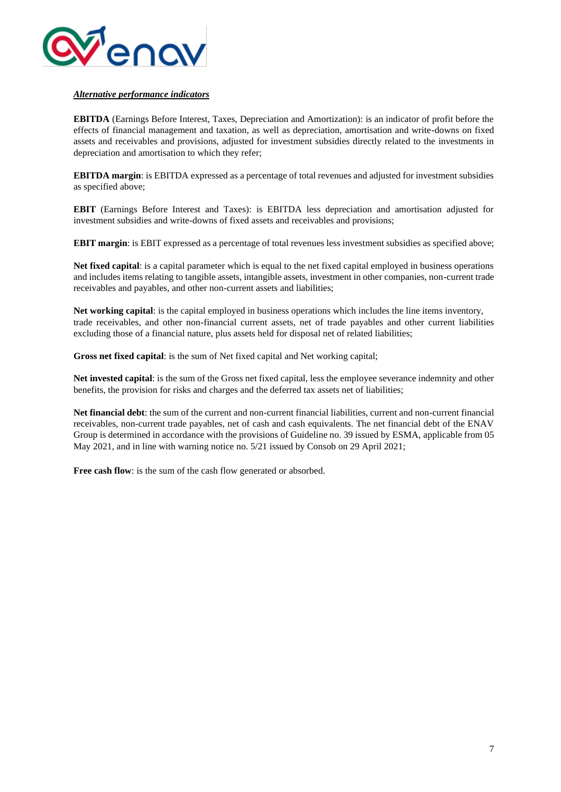

#### *Alternative performance indicators*

**EBITDA** (Earnings Before Interest, Taxes, Depreciation and Amortization): is an indicator of profit before the effects of financial management and taxation, as well as depreciation, amortisation and write-downs on fixed assets and receivables and provisions, adjusted for investment subsidies directly related to the investments in depreciation and amortisation to which they refer;

**EBITDA margin**: is EBITDA expressed as a percentage of total revenues and adjusted for investment subsidies as specified above;

**EBIT** (Earnings Before Interest and Taxes): is EBITDA less depreciation and amortisation adjusted for investment subsidies and write-downs of fixed assets and receivables and provisions;

**EBIT margin**: is EBIT expressed as a percentage of total revenues less investment subsidies as specified above;

**Net fixed capital**: is a capital parameter which is equal to the net fixed capital employed in business operations and includes items relating to tangible assets, intangible assets, investment in other companies, non-current trade receivables and payables, and other non-current assets and liabilities;

**Net working capital**: is the capital employed in business operations which includes the line items inventory, trade receivables, and other non-financial current assets, net of trade payables and other current liabilities excluding those of a financial nature, plus assets held for disposal net of related liabilities;

**Gross net fixed capital:** is the sum of Net fixed capital and Net working capital;

**Net invested capital**: is the sum of the Gross net fixed capital, less the employee severance indemnity and other benefits, the provision for risks and charges and the deferred tax assets net of liabilities;

**Net financial debt**: the sum of the current and non-current financial liabilities, current and non-current financial receivables, non-current trade payables, net of cash and cash equivalents. The net financial debt of the ENAV Group is determined in accordance with the provisions of Guideline no. 39 issued by ESMA, applicable from 05 May 2021, and in line with warning notice no. 5/21 issued by Consob on 29 April 2021;

**Free cash flow**: is the sum of the cash flow generated or absorbed.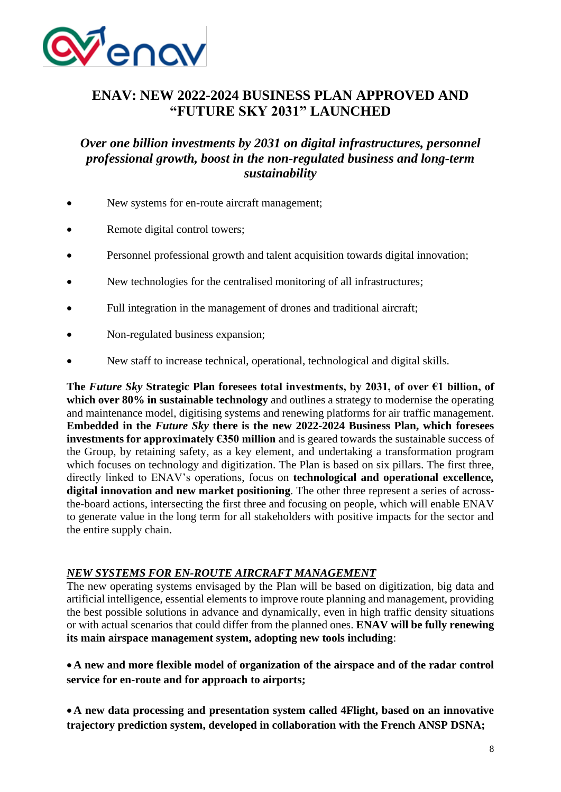

# **ENAV: NEW 2022-2024 BUSINESS PLAN APPROVED AND "FUTURE SKY 2031" LAUNCHED**

# *Over one billion investments by 2031 on digital infrastructures, personnel professional growth, boost in the non-regulated business and long-term sustainability*

- New systems for en-route aircraft management;
- Remote digital control towers;
- Personnel professional growth and talent acquisition towards digital innovation;
- New technologies for the centralised monitoring of all infrastructures;
- Full integration in the management of drones and traditional aircraft;
- Non-regulated business expansion;
- New staff to increase technical, operational, technological and digital skills.

**The** *Future Sky* **Strategic Plan foresees total investments, by 2031, of over €1 billion, of which over 80% in sustainable technology** and outlines a strategy to modernise the operating and maintenance model, digitising systems and renewing platforms for air traffic management. **Embedded in the** *Future Sky* **there is the new 2022-2024 Business Plan, which foresees investments for approximately €350 million** and is geared towards the sustainable success of the Group, by retaining safety, as a key element, and undertaking a transformation program which focuses on technology and digitization. The Plan is based on six pillars. The first three, directly linked to ENAV's operations, focus on **technological and operational excellence***,* **digital innovation and new market positioning**. The other three represent a series of acrossthe-board actions, intersecting the first three and focusing on people, which will enable ENAV to generate value in the long term for all stakeholders with positive impacts for the sector and the entire supply chain.

#### *NEW SYSTEMS FOR EN-ROUTE AIRCRAFT MANAGEMENT*

The new operating systems envisaged by the Plan will be based on digitization, big data and artificial intelligence, essential elements to improve route planning and management, providing the best possible solutions in advance and dynamically, even in high traffic density situations or with actual scenarios that could differ from the planned ones. **ENAV will be fully renewing its main airspace management system, adopting new tools including**:

•**A new and more flexible model of organization of the airspace and of the radar control service for en-route and for approach to airports;**

•**A new data processing and presentation system called 4Flight, based on an innovative trajectory prediction system, developed in collaboration with the French ANSP DSNA;**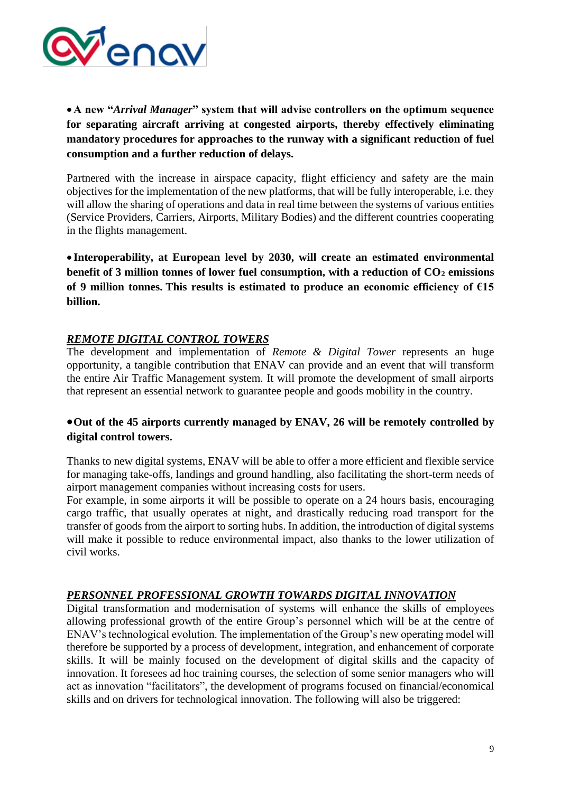

•**A new "***Arrival Manager***" system that will advise controllers on the optimum sequence for separating aircraft arriving at congested airports, thereby effectively eliminating mandatory procedures for approaches to the runway with a significant reduction of fuel consumption and a further reduction of delays.**

Partnered with the increase in airspace capacity, flight efficiency and safety are the main objectives for the implementation of the new platforms, that will be fully interoperable, i.e. they will allow the sharing of operations and data in real time between the systems of various entities (Service Providers, Carriers, Airports, Military Bodies) and the different countries cooperating in the flights management.

• **Interoperability, at European level by 2030, will create an estimated environmental benefit of 3 million tonnes of lower fuel consumption, with a reduction of CO<sup>2</sup> emissions of 9 million tonnes. This results is estimated to produce an economic efficiency of €15 billion.**

### *REMOTE DIGITAL CONTROL TOWERS*

The development and implementation of *Remote & Digital Tower* represents an huge opportunity, a tangible contribution that ENAV can provide and an event that will transform the entire Air Traffic Management system. It will promote the development of small airports that represent an essential network to guarantee people and goods mobility in the country.

## •**Out of the 45 airports currently managed by ENAV, 26 will be remotely controlled by digital control towers.**

Thanks to new digital systems, ENAV will be able to offer a more efficient and flexible service for managing take-offs, landings and ground handling, also facilitating the short-term needs of airport management companies without increasing costs for users.

For example, in some airports it will be possible to operate on a 24 hours basis, encouraging cargo traffic, that usually operates at night, and drastically reducing road transport for the transfer of goods from the airport to sorting hubs. In addition, the introduction of digital systems will make it possible to reduce environmental impact, also thanks to the lower utilization of civil works.

### *PERSONNEL PROFESSIONAL GROWTH TOWARDS DIGITAL INNOVATION*

Digital transformation and modernisation of systems will enhance the skills of employees allowing professional growth of the entire Group's personnel which will be at the centre of ENAV's technological evolution. The implementation of the Group's new operating model will therefore be supported by a process of development, integration, and enhancement of corporate skills. It will be mainly focused on the development of digital skills and the capacity of innovation. It foresees ad hoc training courses, the selection of some senior managers who will act as innovation "facilitators", the development of programs focused on financial/economical skills and on drivers for technological innovation. The following will also be triggered: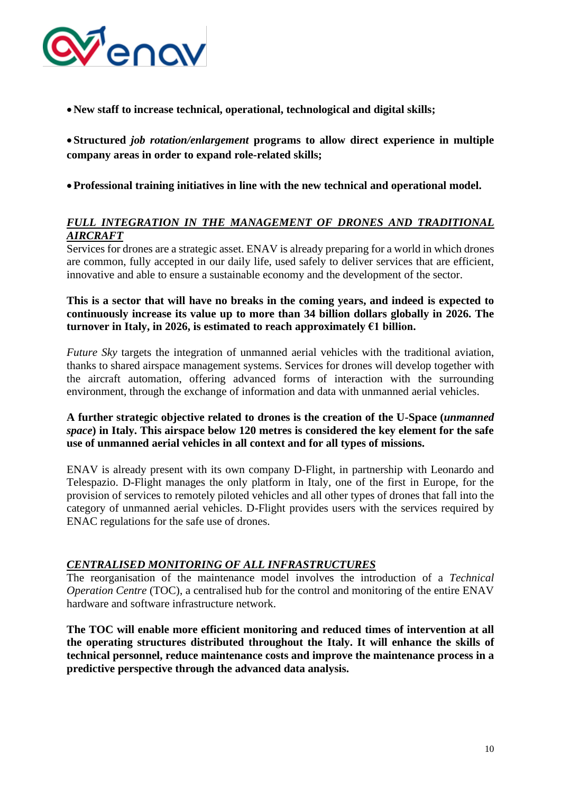

•**New staff to increase technical, operational, technological and digital skills;**

• **Structured** *job rotation/enlargement* **programs to allow direct experience in multiple company areas in order to expand role-related skills;**

•**Professional training initiatives in line with the new technical and operational model.**

## *FULL INTEGRATION IN THE MANAGEMENT OF DRONES AND TRADITIONAL AIRCRAFT*

Services for drones are a strategic asset. ENAV is already preparing for a world in which drones are common, fully accepted in our daily life, used safely to deliver services that are efficient, innovative and able to ensure a sustainable economy and the development of the sector.

#### **This is a sector that will have no breaks in the coming years, and indeed is expected to continuously increase its value up to more than 34 billion dollars globally in 2026. The turnover in Italy, in 2026, is estimated to reach approximately €1 billion.**

*Future Sky* targets the integration of unmanned aerial vehicles with the traditional aviation, thanks to shared airspace management systems. Services for drones will develop together with the aircraft automation, offering advanced forms of interaction with the surrounding environment, through the exchange of information and data with unmanned aerial vehicles.

### **A further strategic objective related to drones is the creation of the U-Space (***unmanned space***) in Italy. This airspace below 120 metres is considered the key element for the safe use of unmanned aerial vehicles in all context and for all types of missions.**

ENAV is already present with its own company D-Flight, in partnership with Leonardo and Telespazio. D-Flight manages the only platform in Italy, one of the first in Europe, for the provision of services to remotely piloted vehicles and all other types of drones that fall into the category of unmanned aerial vehicles. D-Flight provides users with the services required by ENAC regulations for the safe use of drones.

### *CENTRALISED MONITORING OF ALL INFRASTRUCTURES*

The reorganisation of the maintenance model involves the introduction of a *Technical Operation Centre* (TOC), a centralised hub for the control and monitoring of the entire ENAV hardware and software infrastructure network.

**The TOC will enable more efficient monitoring and reduced times of intervention at all the operating structures distributed throughout the Italy. It will enhance the skills of technical personnel, reduce maintenance costs and improve the maintenance process in a predictive perspective through the advanced data analysis.**